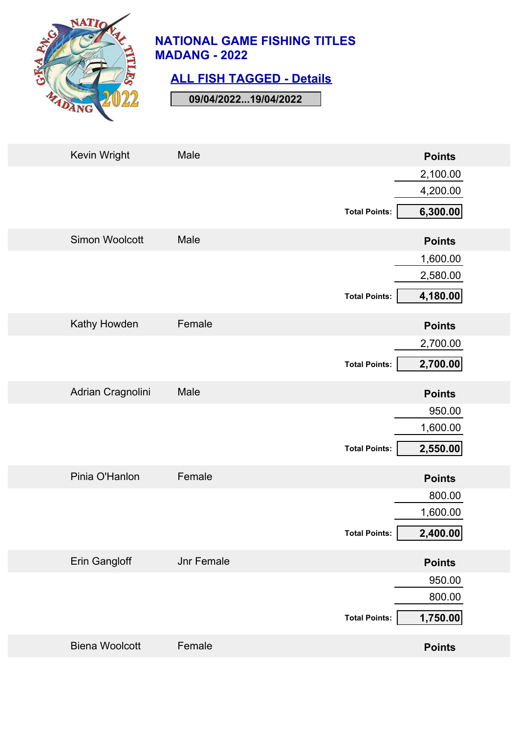

## **ALL FISH TAGGED - Details**

| Kevin Wright          | Male              | <b>Points</b>                    |
|-----------------------|-------------------|----------------------------------|
|                       |                   | 2,100.00<br>4,200.00             |
|                       |                   | 6,300.00<br><b>Total Points:</b> |
| <b>Simon Woolcott</b> | Male              | <b>Points</b>                    |
|                       |                   | 1,600.00                         |
|                       |                   | 2,580.00                         |
|                       |                   | 4,180.00<br><b>Total Points:</b> |
| Kathy Howden          | Female            | <b>Points</b>                    |
|                       |                   | 2,700.00                         |
|                       |                   | 2,700.00<br><b>Total Points:</b> |
| Adrian Cragnolini     | Male              | <b>Points</b>                    |
|                       |                   | 950.00                           |
|                       |                   | 1,600.00                         |
|                       |                   | 2,550.00<br><b>Total Points:</b> |
| Pinia O'Hanlon        | Female            | <b>Points</b>                    |
|                       |                   | 800.00                           |
|                       |                   | 1,600.00                         |
|                       |                   | 2,400.00<br><b>Total Points:</b> |
| Erin Gangloff         | <b>Jnr Female</b> | <b>Points</b>                    |
|                       |                   | 950.00                           |
|                       |                   | 800.00                           |
|                       |                   | 1,750.00<br><b>Total Points:</b> |
| <b>Biena Woolcott</b> | Female            | <b>Points</b>                    |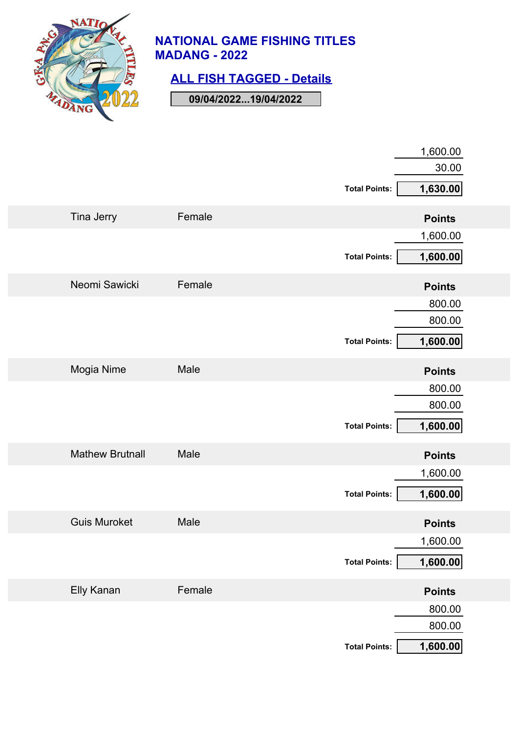

## **ALL FISH TAGGED - Details**

|                        |        | <b>Total Points:</b> | 1,600.00<br>30.00<br>1,630.00 |
|------------------------|--------|----------------------|-------------------------------|
| Tina Jerry             | Female |                      | <b>Points</b>                 |
|                        |        | <b>Total Points:</b> | 1,600.00<br>1,600.00          |
| Neomi Sawicki          | Female |                      | <b>Points</b>                 |
|                        |        | <b>Total Points:</b> | 800.00<br>800.00<br>1,600.00  |
| Mogia Nime             | Male   |                      | <b>Points</b>                 |
|                        |        | <b>Total Points:</b> | 800.00<br>800.00<br>1,600.00  |
| <b>Mathew Brutnall</b> | Male   |                      | <b>Points</b>                 |
|                        |        | <b>Total Points:</b> | 1,600.00<br>1,600.00          |
| <b>Guis Muroket</b>    | Male   |                      | <b>Points</b>                 |
| Elly Kanan             | Female | <b>Total Points:</b> | 1,600.00<br>1,600.00          |
|                        |        |                      | <b>Points</b><br>800.00       |
|                        |        | <b>Total Points:</b> | 800.00<br>1,600.00            |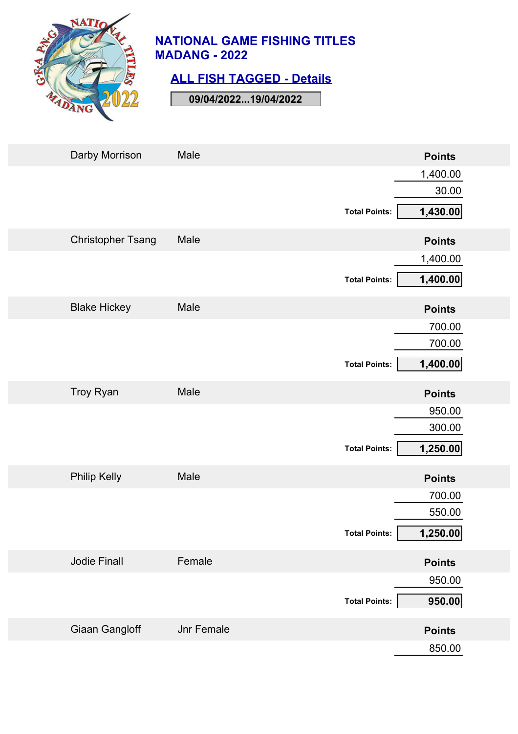

### **ALL FISH TAGGED - Details**

| Darby Morrison           | Male              | <b>Points</b>                    |
|--------------------------|-------------------|----------------------------------|
|                          |                   | 1,400.00                         |
|                          |                   | 30.00                            |
|                          |                   | 1,430.00<br><b>Total Points:</b> |
| <b>Christopher Tsang</b> | Male              | <b>Points</b>                    |
|                          |                   | 1,400.00                         |
|                          |                   | 1,400.00<br><b>Total Points:</b> |
| <b>Blake Hickey</b>      | Male              | <b>Points</b>                    |
|                          |                   | 700.00                           |
|                          |                   | 700.00                           |
|                          |                   | 1,400.00<br><b>Total Points:</b> |
| Troy Ryan                | Male              | <b>Points</b>                    |
|                          |                   | 950.00                           |
|                          |                   | 300.00                           |
|                          |                   | 1,250.00<br><b>Total Points:</b> |
| <b>Philip Kelly</b>      | Male              | <b>Points</b>                    |
|                          |                   | 700.00                           |
|                          |                   | 550.00                           |
|                          |                   | <b>Total Points:</b><br>1,250.00 |
| <b>Jodie Finall</b>      | Female            | <b>Points</b>                    |
|                          |                   | 950.00                           |
|                          |                   | 950.00<br><b>Total Points:</b>   |
| <b>Giaan Gangloff</b>    | <b>Jnr Female</b> | <b>Points</b>                    |
|                          |                   | 850.00                           |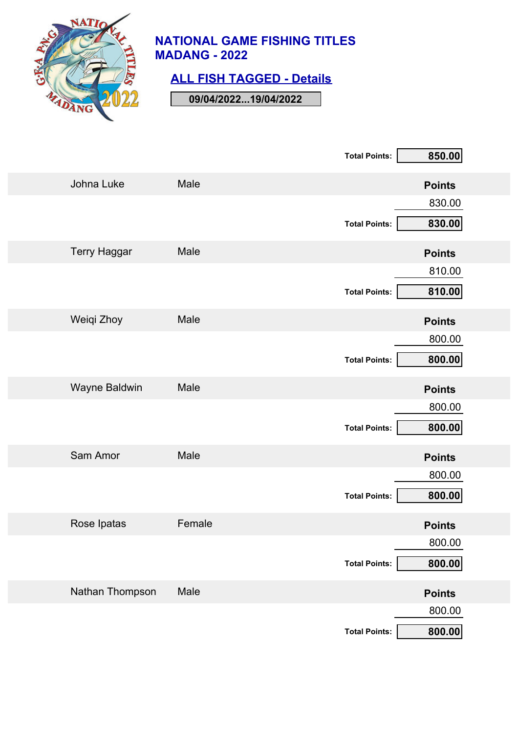

# **ALL FISH TAGGED - Details**

|                     |        | <b>Total Points:</b> | 850.00        |
|---------------------|--------|----------------------|---------------|
| Johna Luke          | Male   |                      | <b>Points</b> |
|                     |        |                      | 830.00        |
|                     |        | <b>Total Points:</b> | 830.00        |
| <b>Terry Haggar</b> | Male   |                      | <b>Points</b> |
|                     |        |                      | 810.00        |
|                     |        | <b>Total Points:</b> | 810.00        |
| Weiqi Zhoy          | Male   |                      | <b>Points</b> |
|                     |        |                      | 800.00        |
|                     |        | <b>Total Points:</b> | 800.00        |
| Wayne Baldwin       | Male   |                      | <b>Points</b> |
|                     |        |                      | 800.00        |
|                     |        | <b>Total Points:</b> | 800.00        |
| Sam Amor            | Male   |                      | <b>Points</b> |
|                     |        |                      | 800.00        |
|                     |        | <b>Total Points:</b> | 800.00        |
| Rose Ipatas         | Female |                      | <b>Points</b> |
|                     |        |                      | 800.00        |
|                     |        | <b>Total Points:</b> | 800.00        |
| Nathan Thompson     | Male   |                      | <b>Points</b> |
|                     |        |                      | 800.00        |
|                     |        | <b>Total Points:</b> | 800.00        |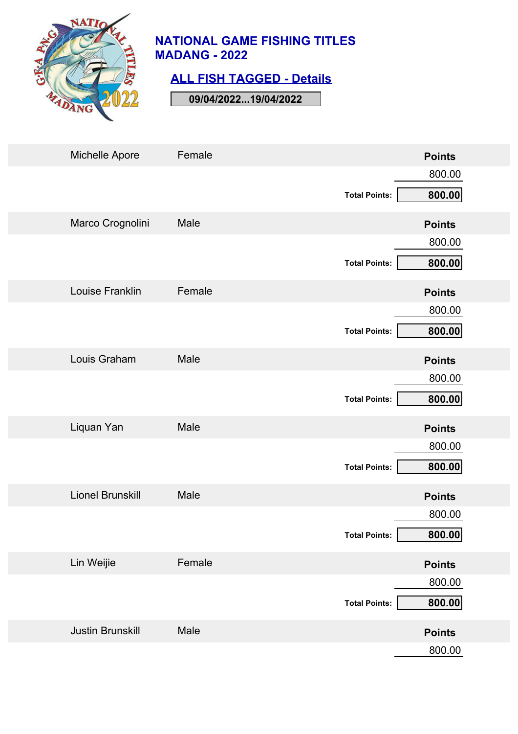

### **ALL FISH TAGGED - Details**

| Michelle Apore          | Female |                      | <b>Points</b> |
|-------------------------|--------|----------------------|---------------|
|                         |        |                      | 800.00        |
|                         |        | <b>Total Points:</b> | 800.00        |
| Marco Crognolini        | Male   |                      | <b>Points</b> |
|                         |        |                      | 800.00        |
|                         |        | <b>Total Points:</b> | 800.00        |
| Louise Franklin         | Female |                      | <b>Points</b> |
|                         |        |                      | 800.00        |
|                         |        | <b>Total Points:</b> | 800.00        |
| Louis Graham            | Male   |                      | <b>Points</b> |
|                         |        |                      | 800.00        |
|                         |        | <b>Total Points:</b> | 800.00        |
| Liquan Yan              | Male   |                      | <b>Points</b> |
|                         |        |                      | 800.00        |
|                         |        | <b>Total Points:</b> | 800.00        |
| <b>Lionel Brunskill</b> | Male   |                      | <b>Points</b> |
|                         |        |                      | 800.00        |
|                         |        | <b>Total Points:</b> | 800.00        |
| Lin Weijie              | Female |                      | <b>Points</b> |
|                         |        |                      | 800.00        |
|                         |        | <b>Total Points:</b> | 800.00        |
| <b>Justin Brunskill</b> | Male   |                      | <b>Points</b> |
|                         |        |                      | 800.00        |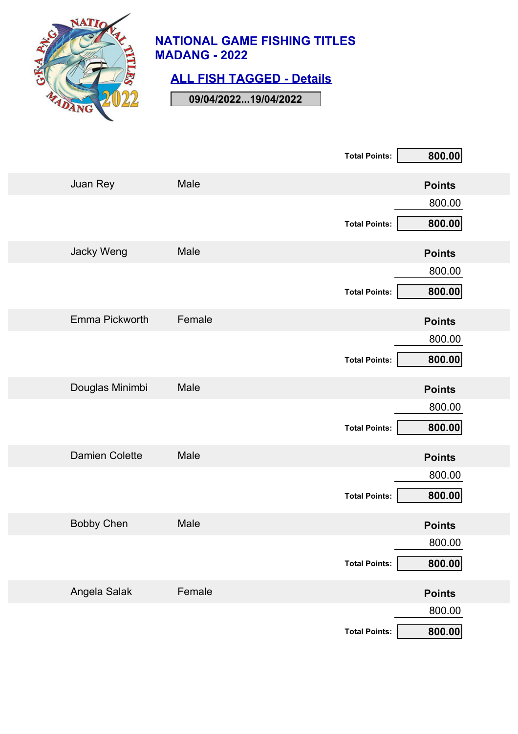

# **ALL FISH TAGGED - Details**

|                       |        | <b>Total Points:</b> | 800.00        |
|-----------------------|--------|----------------------|---------------|
| Juan Rey              | Male   |                      | <b>Points</b> |
|                       |        |                      | 800.00        |
|                       |        | <b>Total Points:</b> | 800.00        |
| Jacky Weng            | Male   |                      | <b>Points</b> |
|                       |        |                      | 800.00        |
|                       |        | <b>Total Points:</b> | 800.00        |
| Emma Pickworth        | Female |                      | <b>Points</b> |
|                       |        |                      | 800.00        |
|                       |        | <b>Total Points:</b> | 800.00        |
| Douglas Minimbi       | Male   |                      | <b>Points</b> |
|                       |        |                      | 800.00        |
|                       |        | <b>Total Points:</b> | 800.00        |
| <b>Damien Colette</b> | Male   |                      | <b>Points</b> |
|                       |        |                      | 800.00        |
|                       |        | <b>Total Points:</b> | 800.00        |
| <b>Bobby Chen</b>     | Male   |                      | <b>Points</b> |
|                       |        |                      | 800.00        |
|                       |        | <b>Total Points:</b> | 800.00        |
| Angela Salak          | Female |                      | <b>Points</b> |
|                       |        |                      | 800.00        |
|                       |        | <b>Total Points:</b> | 800.00        |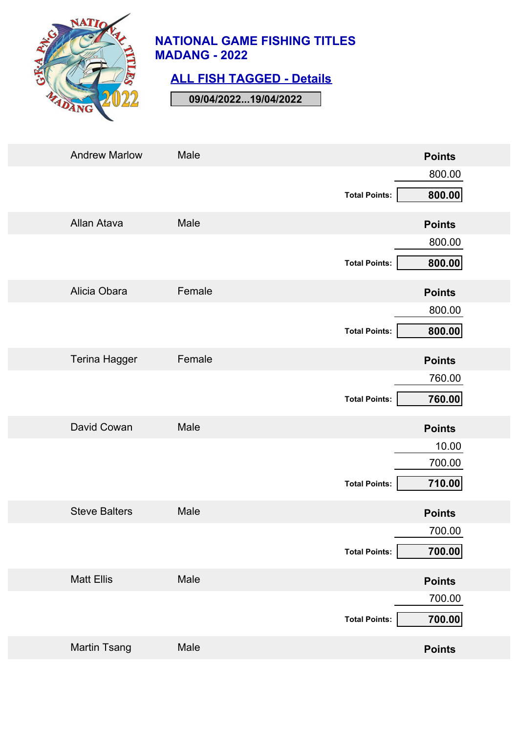

### **ALL FISH TAGGED - Details**

| <b>Andrew Marlow</b> | Male   |                      | <b>Points</b> |
|----------------------|--------|----------------------|---------------|
|                      |        |                      | 800.00        |
|                      |        | <b>Total Points:</b> | 800.00        |
| Allan Atava          | Male   |                      | <b>Points</b> |
|                      |        |                      | 800.00        |
|                      |        | <b>Total Points:</b> | 800.00        |
| Alicia Obara         | Female |                      | <b>Points</b> |
|                      |        |                      | 800.00        |
|                      |        | <b>Total Points:</b> | 800.00        |
| <b>Terina Hagger</b> | Female |                      | <b>Points</b> |
|                      |        |                      | 760.00        |
|                      |        | <b>Total Points:</b> | 760.00        |
| David Cowan          | Male   |                      | <b>Points</b> |
|                      |        |                      | 10.00         |
|                      |        | <b>Total Points:</b> | 700.00        |
|                      |        |                      | 710.00        |
| <b>Steve Balters</b> | Male   |                      | <b>Points</b> |
|                      |        |                      | 700.00        |
|                      |        | <b>Total Points:</b> | 700.00        |
| <b>Matt Ellis</b>    | Male   |                      | <b>Points</b> |
|                      |        |                      | 700.00        |
|                      |        | <b>Total Points:</b> | 700.00        |
| <b>Martin Tsang</b>  | Male   |                      | <b>Points</b> |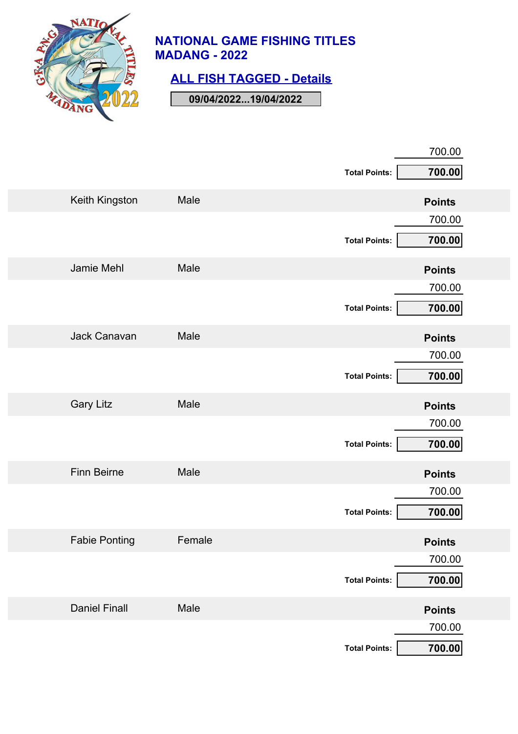

# **ALL FISH TAGGED - Details**

|                      |        |                      | 700.00        |
|----------------------|--------|----------------------|---------------|
|                      |        | <b>Total Points:</b> | 700.00        |
| Keith Kingston       | Male   |                      | <b>Points</b> |
|                      |        |                      | 700.00        |
|                      |        | <b>Total Points:</b> | 700.00        |
| Jamie Mehl           | Male   |                      | <b>Points</b> |
|                      |        |                      | 700.00        |
|                      |        | <b>Total Points:</b> | 700.00        |
| Jack Canavan         | Male   |                      | <b>Points</b> |
|                      |        |                      | 700.00        |
|                      |        | <b>Total Points:</b> | 700.00        |
| <b>Gary Litz</b>     | Male   |                      | <b>Points</b> |
|                      |        |                      | 700.00        |
|                      |        | <b>Total Points:</b> | 700.00        |
| <b>Finn Beirne</b>   | Male   |                      | <b>Points</b> |
|                      |        |                      | 700.00        |
|                      |        | <b>Total Points:</b> | 700.00        |
| <b>Fabie Ponting</b> | Female |                      | <b>Points</b> |
|                      |        |                      | 700.00        |
|                      |        | <b>Total Points:</b> | 700.00        |
| <b>Daniel Finall</b> | Male   |                      | <b>Points</b> |
|                      |        |                      | 700.00        |
|                      |        | <b>Total Points:</b> | 700.00        |
|                      |        |                      |               |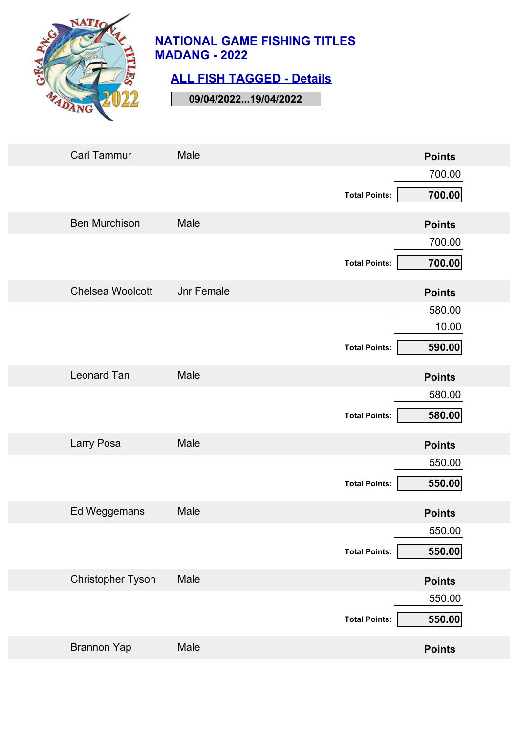

### **ALL FISH TAGGED - Details**

| <b>Carl Tammur</b>       | Male       |                      | <b>Points</b> |
|--------------------------|------------|----------------------|---------------|
|                          |            |                      | 700.00        |
|                          |            | <b>Total Points:</b> | 700.00        |
| <b>Ben Murchison</b>     | Male       |                      | <b>Points</b> |
|                          |            |                      | 700.00        |
|                          |            | <b>Total Points:</b> | 700.00        |
| <b>Chelsea Woolcott</b>  | Jnr Female |                      | <b>Points</b> |
|                          |            |                      | 580.00        |
|                          |            |                      | 10.00         |
|                          |            | <b>Total Points:</b> | 590.00        |
| <b>Leonard Tan</b>       | Male       |                      | <b>Points</b> |
|                          |            |                      | 580.00        |
|                          |            | <b>Total Points:</b> | 580.00        |
| Larry Posa               | Male       |                      | <b>Points</b> |
|                          |            |                      | 550.00        |
|                          |            | <b>Total Points:</b> | 550.00        |
| Ed Weggemans             | Male       |                      | <b>Points</b> |
|                          |            |                      | 550.00        |
|                          |            | <b>Total Points:</b> | 550.00        |
| <b>Christopher Tyson</b> | Male       |                      | <b>Points</b> |
|                          |            |                      | 550.00        |
|                          |            | <b>Total Points:</b> | 550.00        |
| <b>Brannon Yap</b>       | Male       |                      | <b>Points</b> |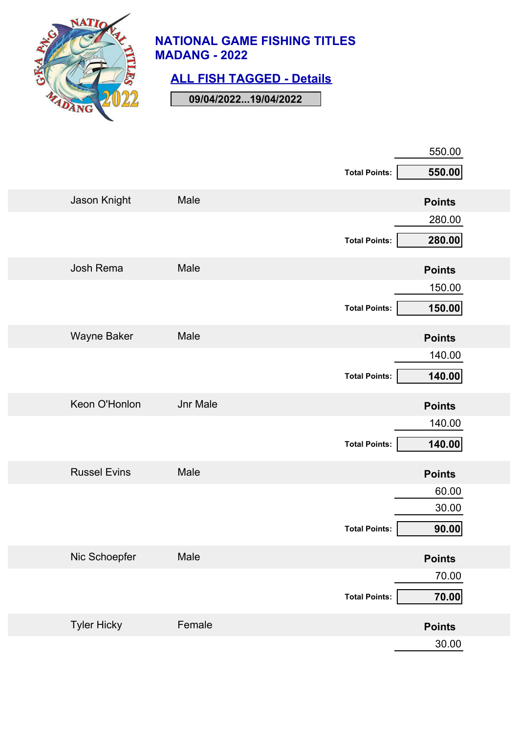

# **ALL FISH TAGGED - Details**

|                     |                 | <b>Total Points:</b> | 550.00<br>550.00        |
|---------------------|-----------------|----------------------|-------------------------|
| Jason Knight        | Male            |                      | <b>Points</b>           |
|                     |                 | <b>Total Points:</b> | 280.00<br>280.00        |
| Josh Rema           | Male            |                      | <b>Points</b>           |
|                     |                 | <b>Total Points:</b> | 150.00<br>150.00        |
| <b>Wayne Baker</b>  | Male            |                      | <b>Points</b>           |
|                     |                 | <b>Total Points:</b> | 140.00<br>140.00        |
| Keon O'Honlon       | <b>Jnr Male</b> |                      | <b>Points</b>           |
|                     |                 | <b>Total Points:</b> | 140.00<br>140.00        |
| <b>Russel Evins</b> | Male            |                      | <b>Points</b>           |
|                     |                 | <b>Total Points:</b> | 60.00<br>30.00<br>90.00 |
| Nic Schoepfer       | Male            |                      | <b>Points</b>           |
|                     |                 | <b>Total Points:</b> | 70.00<br>70.00          |
| <b>Tyler Hicky</b>  | Female          |                      | <b>Points</b>           |
|                     |                 |                      | 30.00                   |